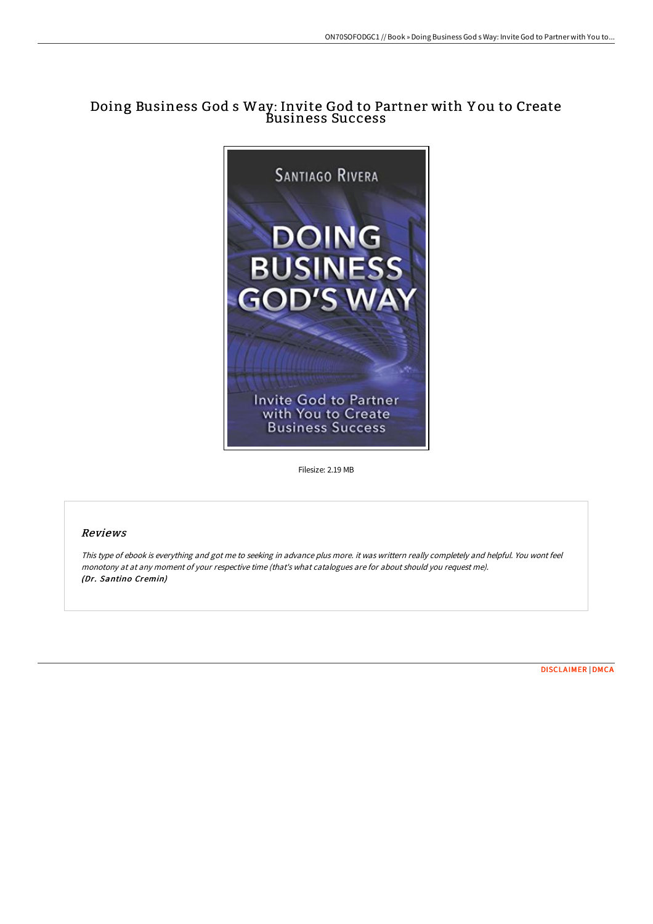# Doing Business God s Way: Invite God to Partner with Y ou to Create Business Success



Filesize: 2.19 MB

### Reviews

This type of ebook is everything and got me to seeking in advance plus more. it was writtern really completely and helpful. You wont feel monotony at at any moment of your respective time (that's what catalogues are for about should you request me). (Dr. Santino Cremin)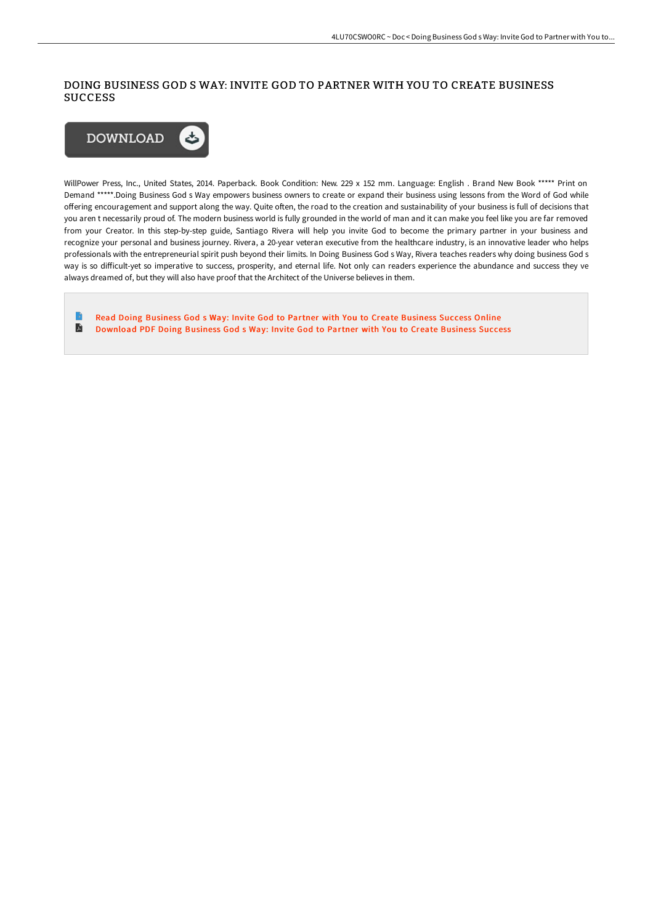## DOING BUSINESS GOD S WAY: INVITE GOD TO PARTNER WITH YOU TO CREATE BUSINESS **SUCCESS**



WillPower Press, Inc., United States, 2014. Paperback. Book Condition: New. 229 x 152 mm. Language: English . Brand New Book \*\*\*\*\* Print on Demand \*\*\*\*\*.Doing Business God s Way empowers business owners to create or expand their business using lessons from the Word of God while offering encouragement and support along the way. Quite often, the road to the creation and sustainability of your business is full of decisions that you aren t necessarily proud of. The modern business world is fully grounded in the world of man and it can make you feel like you are far removed from your Creator. In this step-by-step guide, Santiago Rivera will help you invite God to become the primary partner in your business and recognize your personal and business journey. Rivera, a 20-year veteran executive from the healthcare industry, is an innovative leader who helps professionals with the entrepreneurial spirit push beyond their limits. In Doing Business God s Way, Rivera teaches readers why doing business God s way is so difficult-yet so imperative to success, prosperity, and eternal life. Not only can readers experience the abundance and success they ve always dreamed of, but they will also have proof that the Architect of the Universe believes in them.

B Read Doing [Business](http://techno-pub.tech/doing-business-god-s-way-invite-god-to-partner-w.html) God s Way: Invite God to Partner with You to Create Business Success Online D [Download](http://techno-pub.tech/doing-business-god-s-way-invite-god-to-partner-w.html) PDF Doing Business God s Way: Invite God to Partner with You to Create Business Success